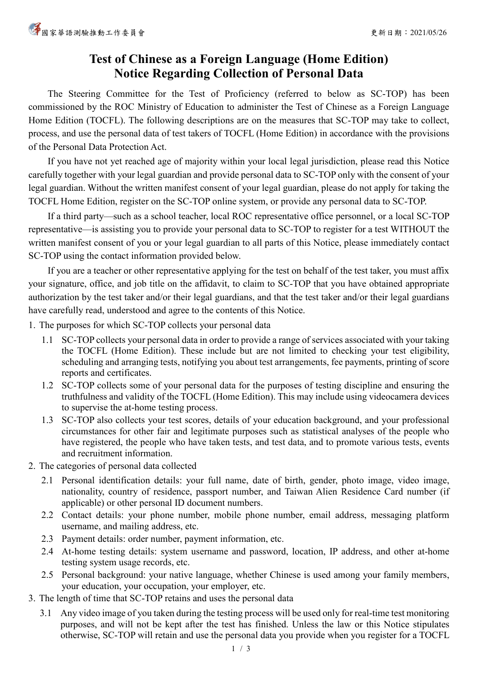## **Test of Chinese as a Foreign Language (Home Edition) Notice Regarding Collection of Personal Data**

The Steering Committee for the Test of Proficiency (referred to below as SC-TOP) has been commissioned by the ROC Ministry of Education to administer the Test of Chinese as a Foreign Language Home Edition (TOCFL). The following descriptions are on the measures that SC-TOP may take to collect, process, and use the personal data of test takers of TOCFL (Home Edition) in accordance with the provisions of the Personal Data Protection Act.

If you have not yet reached age of majority within your local legal jurisdiction, please read this Notice carefully together with your legal guardian and provide personal data to SC-TOP only with the consent of your legal guardian. Without the written manifest consent of your legal guardian, please do not apply for taking the TOCFL Home Edition, register on the SC-TOP online system, or provide any personal data to SC-TOP.

If a third party—such as a school teacher, local ROC representative office personnel, or a local SC-TOP representative—is assisting you to provide your personal data to SC-TOP to register for a test WITHOUT the written manifest consent of you or your legal guardian to all parts of this Notice, please immediately contact SC-TOP using the contact information provided below.

If you are a teacher or other representative applying for the test on behalf of the test taker, you must affix your signature, office, and job title on the affidavit, to claim to SC-TOP that you have obtained appropriate authorization by the test taker and/or their legal guardians, and that the test taker and/or their legal guardians have carefully read, understood and agree to the contents of this Notice.

- 1. The purposes for which SC-TOP collects your personal data
	- 1.1 SC-TOP collects your personal data in order to provide a range of services associated with your taking the TOCFL (Home Edition). These include but are not limited to checking your test eligibility, scheduling and arranging tests, notifying you about test arrangements, fee payments, printing of score reports and certificates.
	- 1.2 SC-TOP collects some of your personal data for the purposes of testing discipline and ensuring the truthfulness and validity of the TOCFL (Home Edition). This may include using videocamera devices to supervise the at-home testing process.
	- 1.3 SC-TOP also collects your test scores, details of your education background, and your professional circumstances for other fair and legitimate purposes such as statistical analyses of the people who have registered, the people who have taken tests, and test data, and to promote various tests, events and recruitment information.
- 2. The categories of personal data collected
	- 2.1 Personal identification details: your full name, date of birth, gender, photo image, video image, nationality, country of residence, passport number, and Taiwan Alien Residence Card number (if applicable) or other personal ID document numbers.
	- 2.2 Contact details: your phone number, mobile phone number, email address, messaging platform username, and mailing address, etc.
	- 2.3 Payment details: order number, payment information, etc.
	- 2.4 At-home testing details: system username and password, location, IP address, and other at-home testing system usage records, etc.
	- 2.5 Personal background: your native language, whether Chinese is used among your family members, your education, your occupation, your employer, etc.
- 3. The length of time that SC-TOP retains and uses the personal data
	- 3.1 Any video image of you taken during the testing process will be used only for real-time test monitoring purposes, and will not be kept after the test has finished. Unless the law or this Notice stipulates otherwise, SC-TOP will retain and use the personal data you provide when you register for a TOCFL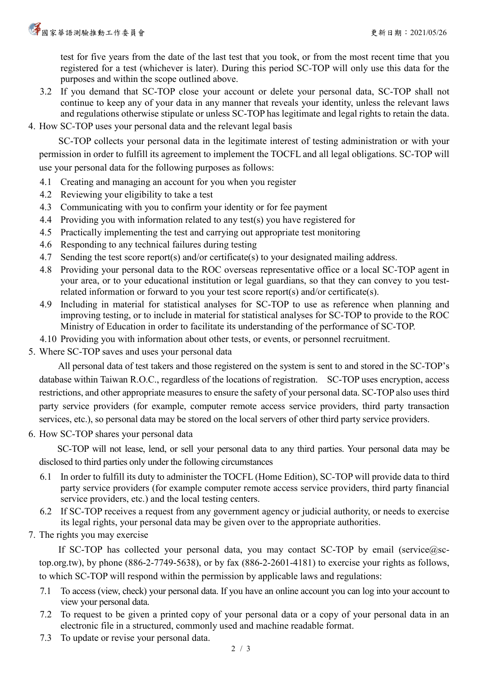test for five years from the date of the last test that you took, or from the most recent time that you registered for a test (whichever is later). During this period SC-TOP will only use this data for the purposes and within the scope outlined above.

- 3.2 If you demand that SC-TOP close your account or delete your personal data, SC-TOP shall not continue to keep any of your data in any manner that reveals your identity, unless the relevant laws and regulations otherwise stipulate or unless SC-TOP has legitimate and legal rights to retain the data.
- 4. How SC-TOP uses your personal data and the relevant legal basis

SC-TOP collects your personal data in the legitimate interest of testing administration or with your permission in order to fulfill its agreement to implement the TOCFL and all legal obligations. SC-TOP will use your personal data for the following purposes as follows:

- 4.1 Creating and managing an account for you when you register
- 4.2 Reviewing your eligibility to take a test
- 4.3 Communicating with you to confirm your identity or for fee payment
- 4.4 Providing you with information related to any test(s) you have registered for
- 4.5 Practically implementing the test and carrying out appropriate test monitoring
- 4.6 Responding to any technical failures during testing
- 4.7 Sending the test score report(s) and/or certificate(s) to your designated mailing address.
- 4.8 Providing your personal data to the ROC overseas representative office or a local SC-TOP agent in your area, or to your educational institution or legal guardians, so that they can convey to you testrelated information or forward to you your test score report(s) and/or certificate(s).
- 4.9 Including in material for statistical analyses for SC-TOP to use as reference when planning and improving testing, or to include in material for statistical analyses for SC-TOP to provide to the ROC Ministry of Education in order to facilitate its understanding of the performance of SC-TOP.
- 4.10 Providing you with information about other tests, or events, or personnel recruitment.
- 5. Where SC-TOP saves and uses your personal data

All personal data of test takers and those registered on the system is sent to and stored in the SC-TOP's database within Taiwan R.O.C., regardless of the locations of registration. SC-TOP uses encryption, access restrictions, and other appropriate measures to ensure the safety of your personal data. SC-TOP also uses third party service providers (for example, computer remote access service providers, third party transaction services, etc.), so personal data may be stored on the local servers of other third party service providers.

6. How SC-TOP shares your personal data

SC-TOP will not lease, lend, or sell your personal data to any third parties. Your personal data may be disclosed to third parties only under the following circumstances

- 6.1 In order to fulfill its duty to administer the TOCFL (Home Edition), SC-TOP will provide data to third party service providers (for example computer remote access service providers, third party financial service providers, etc.) and the local testing centers.
- 6.2 If SC-TOP receives a request from any government agency or judicial authority, or needs to exercise its legal rights, your personal data may be given over to the appropriate authorities.
- 7. The rights you may exercise

If SC-TOP has collected your personal data, you may contact SC-TOP by email (service@sctop.org.tw), by phone (886-2-7749-5638), or by fax (886-2-2601-4181) to exercise your rights as follows, to which SC-TOP will respond within the permission by applicable laws and regulations:

- 7.1 To access (view, check) your personal data. If you have an online account you can log into your account to view your personal data.
- 7.2 To request to be given a printed copy of your personal data or a copy of your personal data in an electronic file in a structured, commonly used and machine readable format.
- 7.3 To update or revise your personal data.